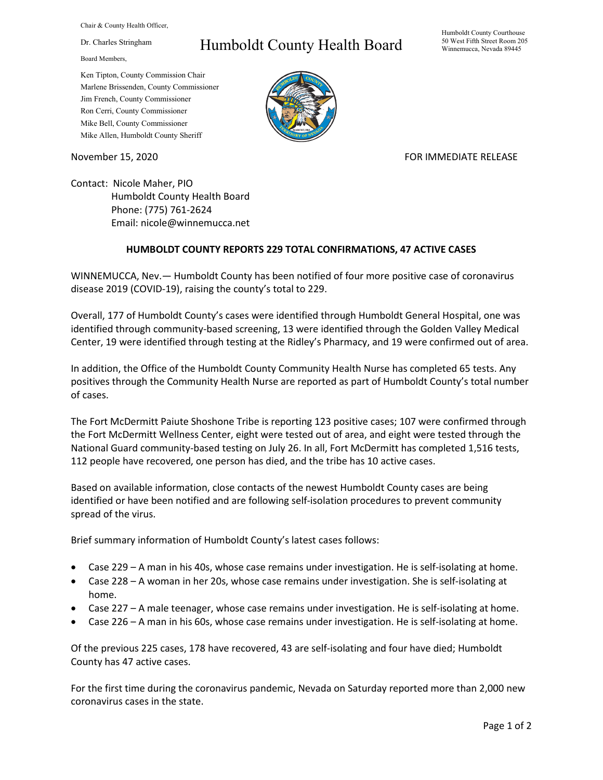Chair & County Health Officer,

Dr. Charles Stringham

Board Members,

## Humboldt County Health Board

Humboldt County Courthouse 50 West Fifth Street Room 205 Winnemucca, Nevada 89445

Ken Tipton, County Commission Chair Marlene Brissenden, County Commissioner Jim French, County Commissioner Ron Cerri, County Commissioner Mike Bell, County Commissioner Mike Allen, Humboldt County Sheriff

November 15, 2020 **FOR IMMEDIATE RELEASE** 

Contact: Nicole Maher, PIO Humboldt County Health Board Phone: (775) 761-2624 Email: nicole@winnemucca.net

## **HUMBOLDT COUNTY REPORTS 229 TOTAL CONFIRMATIONS, 47 ACTIVE CASES**

WINNEMUCCA, Nev.— Humboldt County has been notified of four more positive case of coronavirus disease 2019 (COVID-19), raising the county's total to 229.

Overall, 177 of Humboldt County's cases were identified through Humboldt General Hospital, one was identified through community-based screening, 13 were identified through the Golden Valley Medical Center, 19 were identified through testing at the Ridley's Pharmacy, and 19 were confirmed out of area.

In addition, the Office of the Humboldt County Community Health Nurse has completed 65 tests. Any positives through the Community Health Nurse are reported as part of Humboldt County's total number of cases.

The Fort McDermitt Paiute Shoshone Tribe is reporting 123 positive cases; 107 were confirmed through the Fort McDermitt Wellness Center, eight were tested out of area, and eight were tested through the National Guard community-based testing on July 26. In all, Fort McDermitt has completed 1,516 tests, 112 people have recovered, one person has died, and the tribe has 10 active cases.

Based on available information, close contacts of the newest Humboldt County cases are being identified or have been notified and are following self-isolation procedures to prevent community spread of the virus.

Brief summary information of Humboldt County's latest cases follows:

- Case 229 A man in his 40s, whose case remains under investigation. He is self-isolating at home.
- Case 228 A woman in her 20s, whose case remains under investigation. She is self-isolating at home.
- Case 227 A male teenager, whose case remains under investigation. He is self-isolating at home.
- Case 226 A man in his 60s, whose case remains under investigation. He is self-isolating at home.

Of the previous 225 cases, 178 have recovered, 43 are self-isolating and four have died; Humboldt County has 47 active cases.

For the first time during the coronavirus pandemic, Nevada on Saturday reported more than 2,000 new coronavirus cases in the state.